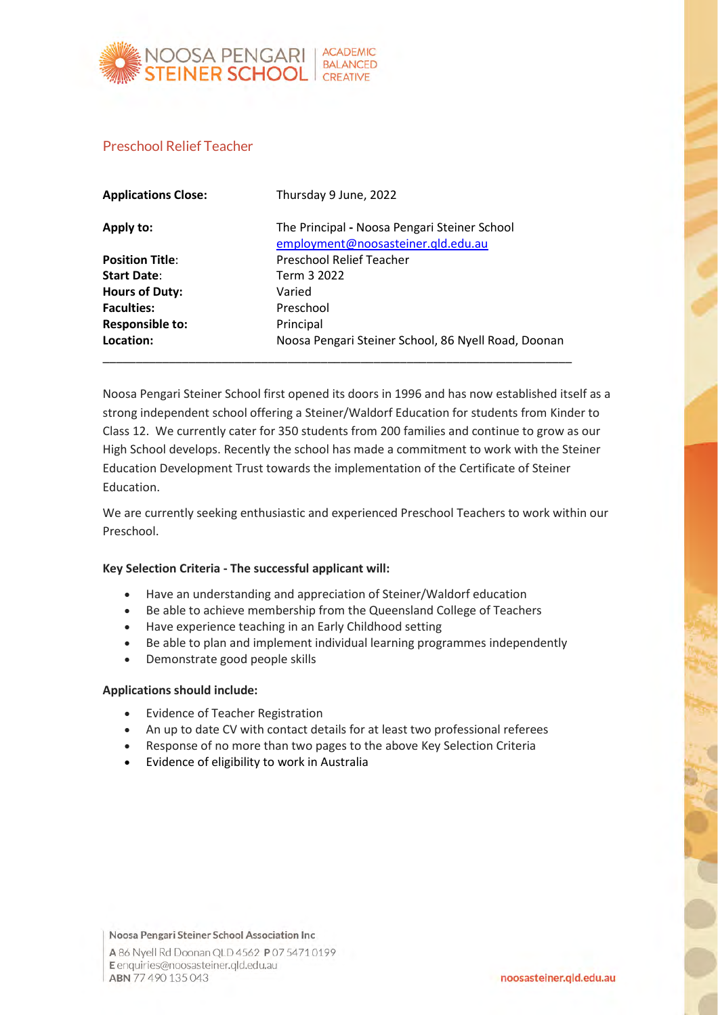

## Preschool Relief Teacher

| <b>Applications Close:</b> | Thursday 9 June, 2022                                                              |
|----------------------------|------------------------------------------------------------------------------------|
| Apply to:                  | The Principal - Noosa Pengari Steiner School<br>employment@noosasteiner.qld.edu.au |
| <b>Position Title:</b>     | <b>Preschool Relief Teacher</b>                                                    |
| <b>Start Date:</b>         | Term 3 2022                                                                        |
| <b>Hours of Duty:</b>      | Varied                                                                             |
| <b>Faculties:</b>          | Preschool                                                                          |
| <b>Responsible to:</b>     | Principal                                                                          |
| Location:                  | Noosa Pengari Steiner School, 86 Nyell Road, Doonan                                |

Noosa Pengari Steiner School first opened its doors in 1996 and has now established itself as a strong independent school offering a Steiner/Waldorf Education for students from Kinder to Class 12. We currently cater for 350 students from 200 families and continue to grow as our High School develops. Recently the school has made a commitment to work with the Steiner Education Development Trust towards the implementation of the Certificate of Steiner Education.

We are currently seeking enthusiastic and experienced Preschool Teachers to work within our Preschool.

## **Key Selection Criteria - The successful applicant will:**

- Have an understanding and appreciation of Steiner/Waldorf education
- Be able to achieve membership from the Queensland College of Teachers
- Have experience teaching in an Early Childhood setting
- Be able to plan and implement individual learning programmes independently
- Demonstrate good people skills

## **Applications should include:**

- Evidence of Teacher Registration
- An up to date CV with contact details for at least two professional referees
- Response of no more than two pages to the above Key Selection Criteria
- Evidence of eligibility to work in Australia